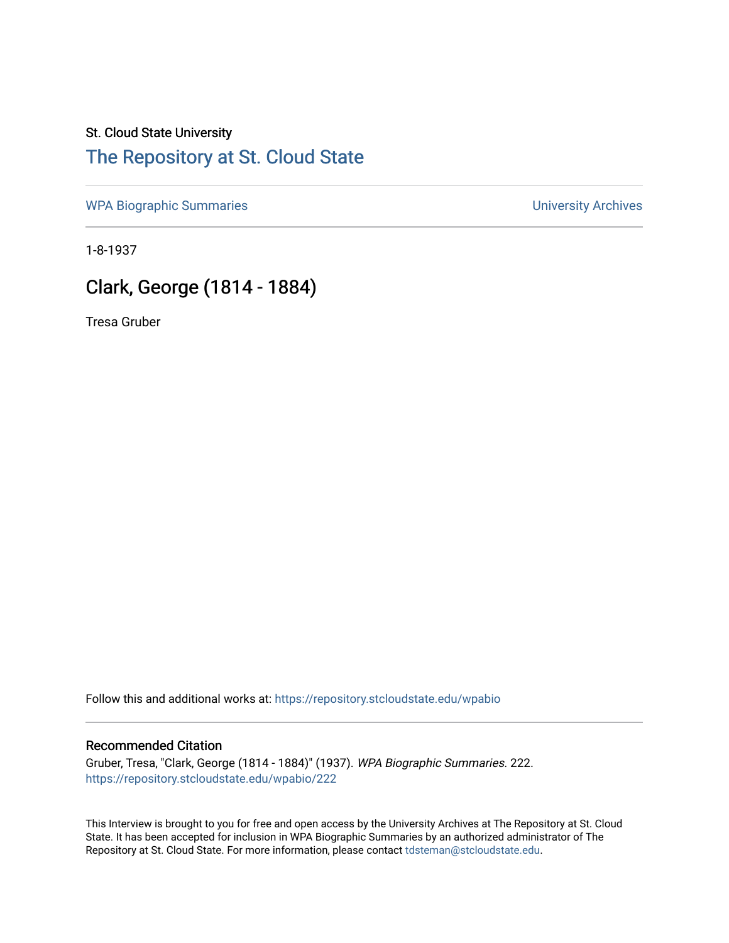# St. Cloud State University [The Repository at St. Cloud State](https://repository.stcloudstate.edu/)

[WPA Biographic Summaries](https://repository.stcloudstate.edu/wpabio) **WPA Biographic Summaries University Archives** 

1-8-1937

# Clark, George (1814 - 1884)

Tresa Gruber

Follow this and additional works at: [https://repository.stcloudstate.edu/wpabio](https://repository.stcloudstate.edu/wpabio?utm_source=repository.stcloudstate.edu%2Fwpabio%2F222&utm_medium=PDF&utm_campaign=PDFCoverPages) 

#### Recommended Citation

Gruber, Tresa, "Clark, George (1814 - 1884)" (1937). WPA Biographic Summaries. 222. [https://repository.stcloudstate.edu/wpabio/222](https://repository.stcloudstate.edu/wpabio/222?utm_source=repository.stcloudstate.edu%2Fwpabio%2F222&utm_medium=PDF&utm_campaign=PDFCoverPages) 

This Interview is brought to you for free and open access by the University Archives at The Repository at St. Cloud State. It has been accepted for inclusion in WPA Biographic Summaries by an authorized administrator of The Repository at St. Cloud State. For more information, please contact [tdsteman@stcloudstate.edu.](mailto:tdsteman@stcloudstate.edu)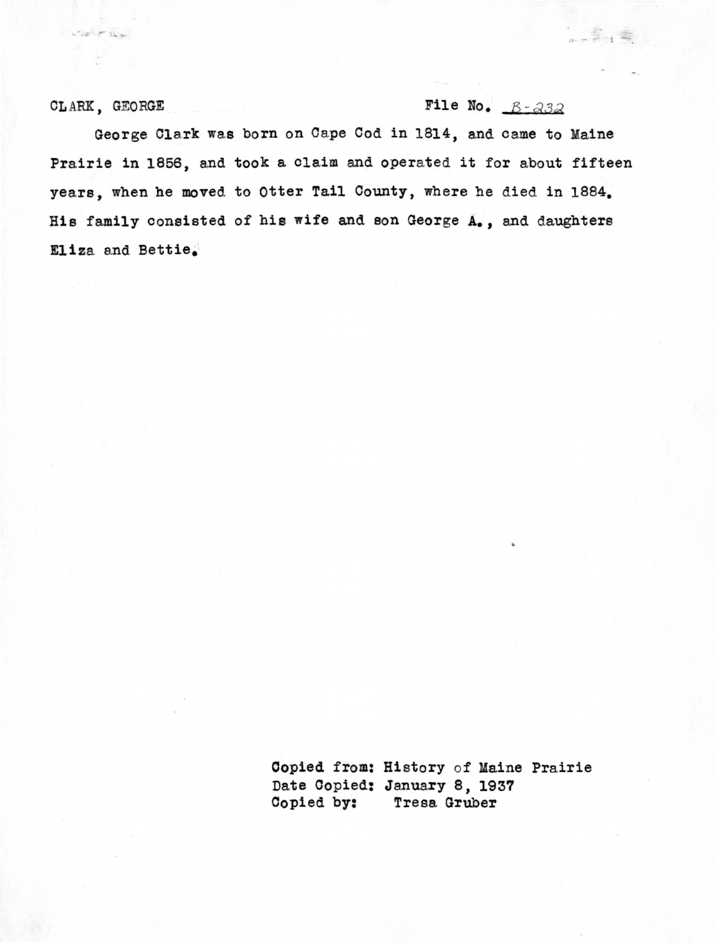what it the

## CLARK, GEORGE File No.  $B - 232$

 $\frac{1}{2}$ 

George Clark was born on Cape Cod in 1814, and came to Maine Prairie in 1856, and took a claim and operated it for about fifteen years, when he moved to Otter Tail County, where he died in 1884. Hie family consisted of bis wife and son George A., and daughters Eliza and Bettie.

> Oopied from: History of Kaine Prairie Date Copied: January S, 1937 Copied by: Tresa Gruber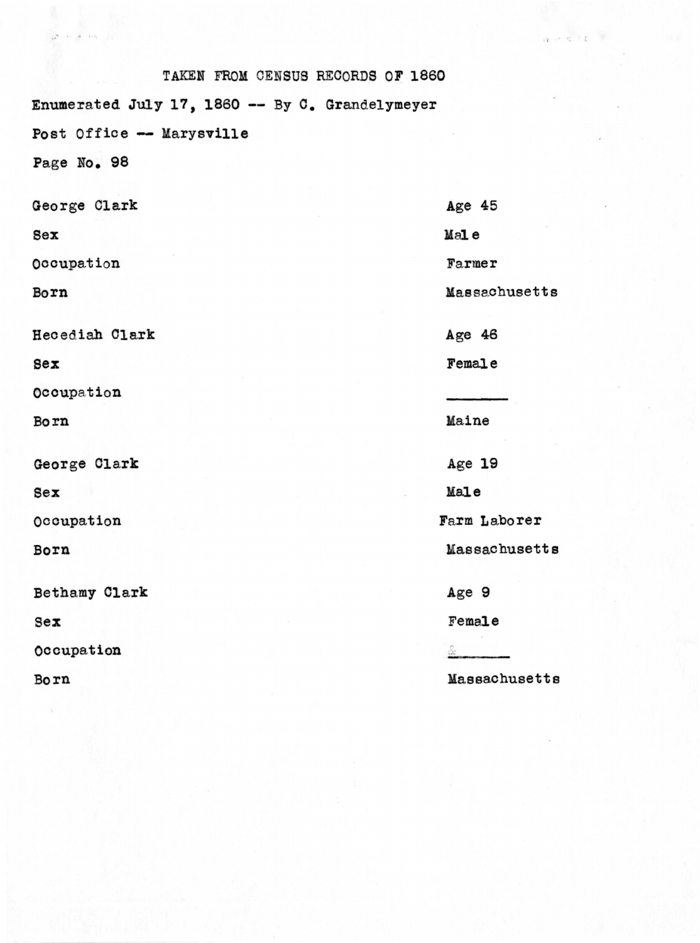| TAKEN FROM CENSUS RECORDS OF 1860               |               |
|-------------------------------------------------|---------------|
| Enumerated July 17, 1860 -- By C. Grandelymeyer |               |
| Post Office -- Marysville                       |               |
| Page No. 98                                     |               |
| George Clark                                    | Age $45$      |
| Sex                                             | Male          |
| Occupation                                      | Farmer        |
| Born                                            | Massachusetts |
| Hecediah Clark                                  | Age $46$      |
| Sex                                             | Female        |
| Occupation                                      |               |
| Born                                            | Maine         |
| George Clark                                    | Age 19        |
| Sex                                             | Male          |
| Occupation                                      | Farm Laborer  |
| Born                                            | Massachusetts |
| Bethamy Clark                                   | Age 9         |
| $sex$                                           | Female        |
| Occupation                                      |               |
| Born                                            | Massachusetts |

 $\sqrt{2}$ a S.

 $4 - 3$